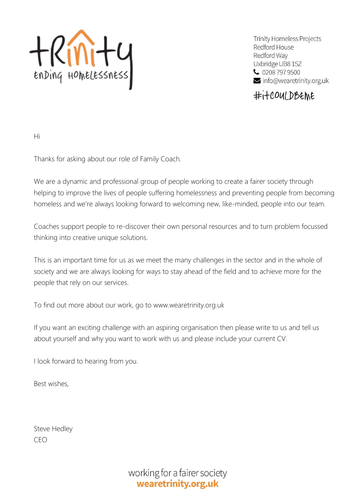

**Trinity Homeless Projects** Redford House Redford Way Uxbridge UB8 1SZ  $\bullet$  0208 797 9500  $\vee$  info@wearetrinity.org.uk

#itcoulDBEME

Hi

Thanks for asking about our role of Family Coach.

We are a dynamic and professional group of people working to create a fairer society through helping to improve the lives of people suffering homelessness and preventing people from becoming homeless and we're always looking forward to welcoming new, like-minded, people into our team.

Coaches support people to re-discover their own personal resources and to turn problem focussed thinking into creative unique solutions.

This is an important time for us as we meet the many challenges in the sector and in the whole of society and we are always looking for ways to stay ahead of the field and to achieve more for the people that rely on our services.

To find out more about our work, go to www.wearetrinity.org.uk

If you want an exciting challenge with an aspiring organisation then please write to us and tell us about yourself and why you want to work with us and please include your current CV.

I look forward to hearing from you.

Best wishes,

Steve Hedley CEO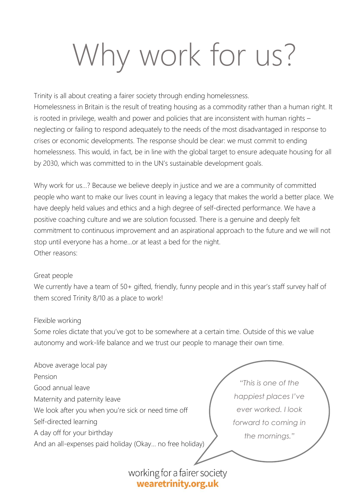# Why work for us?

Trinity is all about creating a fairer society through ending homelessness. Homelessness in Britain is the result of treating housing as a commodity rather than a human right. It is rooted in privilege, wealth and power and policies that are inconsistent with human rights – neglecting or failing to respond adequately to the needs of the most disadvantaged in response to crises or economic developments. The response should be clear: we must commit to ending homelessness. This would, in fact, be in line with the global target to ensure adequate housing for all by 2030, which was committed to in the UN's sustainable development goals.

Why work for us…? Because we believe deeply in justice and we are a community of committed people who want to make our lives count in leaving a legacy that makes the world a better place. We have deeply held values and ethics and a high degree of self-directed performance. We have a positive coaching culture and we are solution focussed. There is a genuine and deeply felt commitment to continuous improvement and an aspirational approach to the future and we will not stop until everyone has a home…or at least a bed for the night. Other reasons:

#### Great people

We currently have a team of 50+ gifted, friendly, funny people and in this year's staff survey half of them scored Trinity 8/10 as a place to work!

#### Flexible working

Some roles dictate that you've got to be somewhere at a certain time. Outside of this we value autonomy and work-life balance and we trust our people to manage their own time.

| Above average local pay                                 |                      |
|---------------------------------------------------------|----------------------|
| Pension                                                 |                      |
| Good annual leave                                       | "This is one of the  |
| Maternity and paternity leave                           | happiest places I've |
| We look after you when you're sick or need time off     | ever worked. I look  |
| Self-directed learning                                  | forward to coming in |
| A day off for your birthday                             | the mornings."       |
| And an all-expenses paid holiday (Okay no free holiday) |                      |
|                                                         |                      |
| working for a fairer society                            |                      |

wearetrinity.org.uk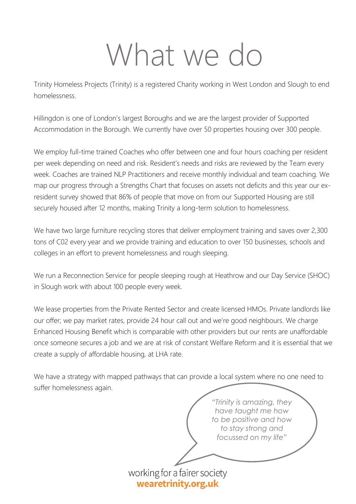### What we do

Trinity Homeless Projects (Trinity) is a registered Charity working in West London and Slough to end homelessness.

Hillingdon is one of London's largest Boroughs and we are the largest provider of Supported Accommodation in the Borough. We currently have over 50 properties housing over 300 people.

We employ full-time trained Coaches who offer between one and four hours coaching per resident per week depending on need and risk. Resident's needs and risks are reviewed by the Team every week. Coaches are trained NLP Practitioners and receive monthly individual and team coaching. We map our progress through a Strengths Chart that focuses on assets not deficits and this year our exresident survey showed that 86% of people that move on from our Supported Housing are still securely housed after 12 months, making Trinity a long-term solution to homelessness.

We have two large furniture recycling stores that deliver employment training and saves over 2,300 tons of C02 every year and we provide training and education to over 150 businesses, schools and colleges in an effort to prevent homelessness and rough sleeping.

We run a Reconnection Service for people sleeping rough at Heathrow and our Day Service (SHOC) in Slough work with about 100 people every week.

We lease properties from the Private Rented Sector and create licensed HMOs. Private landlords like our offer; we pay market rates, provide 24 hour call out and we're good neighbours. We charge Enhanced Housing Benefit which is comparable with other providers but our rents are unaffordable once someone secures a job and we are at risk of constant Welfare Reform and it is essential that we create a supply of affordable housing, at LHA rate.

We have a strategy with mapped pathways that can provide a local system where no one need to suffer homelessness again.

> *"Trinity is amazing, they have taught me how to be positive and how to stay strong and focussed on my life"*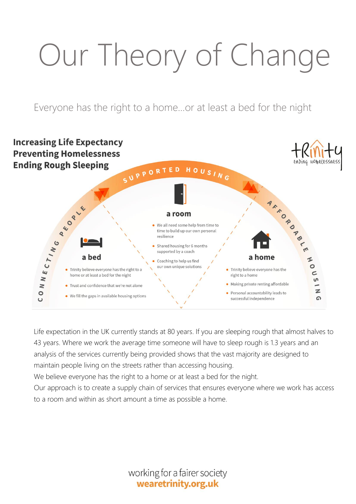# Our Theory of Change

Everyone has the right to a home…or at least a bed for the night



Life expectation in the UK currently stands at 80 years. If you are sleeping rough that almost halves to 43 years. Where we work the average time someone will have to sleep rough is 1.3 years and an analysis of the services currently being provided shows that the vast majority are designed to maintain people living on the streets rather than accessing housing.

We believe everyone has the right to a home or at least a bed for the night.

Our approach is to create a supply chain of services that ensures everyone where we work has access to a room and within as short amount a time as possible a home.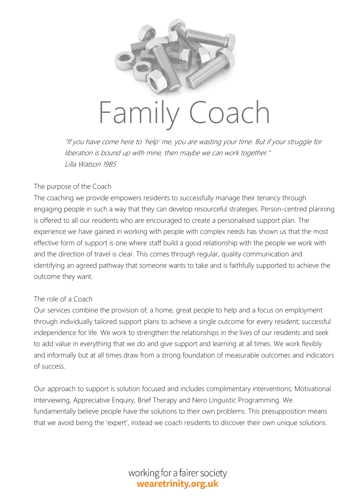

"If you have come here to 'help' me, you are wasting your time. But if your struggle for liberation is bound up with mine, then maybe we can work together." Lilla Watson 1985

#### The purpose of the Coach

The coaching we provide empowers residents to successfully manage their tenancy through engaging people in such a way that they can develop resourceful strategies. Person-centred planning is offered to all our residents who are encouraged to create a personalised support plan. The experience we have gained in working with people with complex needs has shown us that the most effective form of support is one where staff build a good relationship with the people we work with and the direction of travel is clear. This comes through regular, quality communication and identifying an agreed pathway that someone wants to take and is faithfully supported to achieve the outcome they want.

#### The role of a Coach

Our services combine the provision of; a home, great people to help and a focus on employment through individually tailored support plans to achieve a single outcome for every resident; successful independence for life. We work to strengthen the relationships in the lives of our residents and seek to add value in everything that we do and give support and learning at all times. We work flexibly and informally but at all times draw from a strong foundation of measurable outcomes and indicators of success.

Our approach to support is solution focused and includes complimentary interventions; Motivational Interviewing, Appreciative Enquiry, Brief Therapy and Nero Linguistic Programming. We fundamentally believe people have the solutions to their own problems. This presupposition means that we avoid being the 'expert', instead we coach residents to discover their own unique solutions.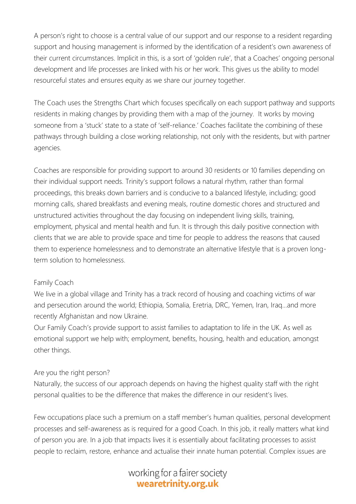A person's right to choose is a central value of our support and our response to a resident regarding support and housing management is informed by the identification of a resident's own awareness of their current circumstances. Implicit in this, is a sort of 'golden rule', that a Coaches' ongoing personal development and life processes are linked with his or her work. This gives us the ability to model resourceful states and ensures equity as we share our journey together.

The Coach uses the Strengths Chart which focuses specifically on each support pathway and supports residents in making changes by providing them with a map of the journey. It works by moving someone from a 'stuck' state to a state of 'self-reliance.' Coaches facilitate the combining of these pathways through building a close working relationship, not only with the residents, but with partner agencies.

Coaches are responsible for providing support to around 30 residents or 10 families depending on their individual support needs. Trinity's support follows a natural rhythm, rather than formal proceedings, this breaks down barriers and is conducive to a balanced lifestyle, including; good morning calls, shared breakfasts and evening meals, routine domestic chores and structured and unstructured activities throughout the day focusing on independent living skills, training, employment, physical and mental health and fun. It is through this daily positive connection with clients that we are able to provide space and time for people to address the reasons that caused them to experience homelessness and to demonstrate an alternative lifestyle that is a proven longterm solution to homelessness.

#### Family Coach

We live in a global village and Trinity has a track record of housing and coaching victims of war and persecution around the world; Ethiopia, Somalia, Eretria, DRC, Yemen, Iran, Iraq…and more recently Afghanistan and now Ukraine.

Our Family Coach's provide support to assist families to adaptation to life in the UK. As well as emotional support we help with; employment, benefits, housing, health and education, amongst other things.

#### Are you the right person?

Naturally, the success of our approach depends on having the highest quality staff with the right personal qualities to be the difference that makes the difference in our resident's lives.

Few occupations place such a premium on a staff member's human qualities, personal development processes and self-awareness as is required for a good Coach. In this job, it really matters what kind of person you are. In a job that impacts lives it is essentially about facilitating processes to assist people to reclaim, restore, enhance and actualise their innate human potential. Complex issues are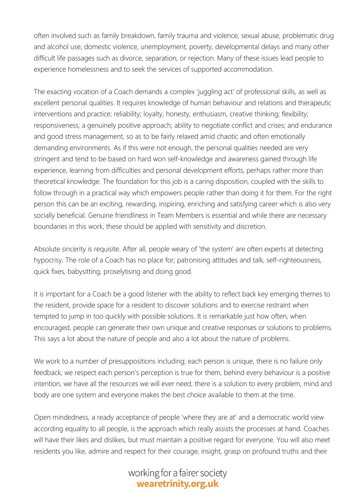often involved such as family breakdown, family trauma and violence, sexual abuse, problematic drug and alcohol use, domestic violence, unemployment, poverty, developmental delays and many other difficult life passages such as divorce, separation, or rejection. Many of these issues lead people to experience homelessness and to seek the services of supported accommodation.

The exacting vocation of a Coach demands a complex 'juggling act' of professional skills, as well as excellent personal qualities. It requires knowledge of human behaviour and relations and therapeutic interventions and practice; reliability; loyalty, honesty, enthusiasm, creative thinking; flexibility; responsiveness; a genuinely positive approach; ability to negotiate conflict and crises; and endurance and good stress management, so as to be fairly relaxed amid chaotic and often emotionally demanding environments. As if this were not enough, the personal qualities needed are very stringent and tend to be based on hard won self-knowledge and awareness gained through life experience, learning from difficulties and personal development efforts, perhaps rather more than theoretical knowledge. The foundation for this job is a caring disposition, coupled with the skills to follow through in a practical way which empowers people rather than doing it for them. For the right person this can be an exciting, rewarding, inspiring, enriching and satisfying career which is also very socially beneficial. Genuine friendliness in Team Members is essential and while there are necessary boundaries in this work, these should be applied with sensitivity and discretion.

Absolute sincerity is requisite. After all, people weary of 'the system' are often experts at detecting hypocrisy. The role of a Coach has no place for; patronising attitudes and talk, self-righteousness, quick fixes, babysitting, proselytising and doing good.

It is important for a Coach be a good listener with the ability to reflect back key emerging themes to the resident, provide space for a resident to discover solutions and to exercise restraint when tempted to jump in too quickly with possible solutions. It is remarkable just how often, when encouraged, people can generate their own unique and creative responses or solutions to problems. This says a lot about the nature of people and also a lot about the nature of problems.

We work to a number of presuppositions including; each person is unique, there is no failure only feedback, we respect each person's perception is true for them, behind every behaviour is a positive intention, we have all the resources we will ever need, there is a solution to every problem, mind and body are one system and everyone makes the best choice available to them at the time.

Open mindedness, a ready acceptance of people 'where they are at' and a democratic world view according equality to all people, is the approach which really assists the processes at hand. Coaches will have their likes and dislikes, but must maintain a positive regard for everyone. You will also meet residents you like, admire and respect for their courage, insight, grasp on profound truths and their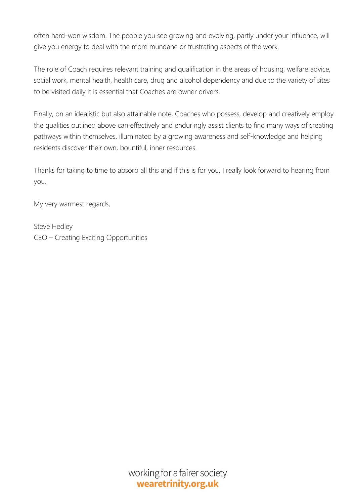often hard-won wisdom. The people you see growing and evolving, partly under your influence, will give you energy to deal with the more mundane or frustrating aspects of the work.

The role of Coach requires relevant training and qualification in the areas of housing, welfare advice, social work, mental health, health care, drug and alcohol dependency and due to the variety of sites to be visited daily it is essential that Coaches are owner drivers.

Finally, on an idealistic but also attainable note, Coaches who possess, develop and creatively employ the qualities outlined above can effectively and enduringly assist clients to find many ways of creating pathways within themselves, illuminated by a growing awareness and self-knowledge and helping residents discover their own, bountiful, inner resources.

Thanks for taking to time to absorb all this and if this is for you, I really look forward to hearing from you.

My very warmest regards,

Steve Hedley CEO – Creating Exciting Opportunities